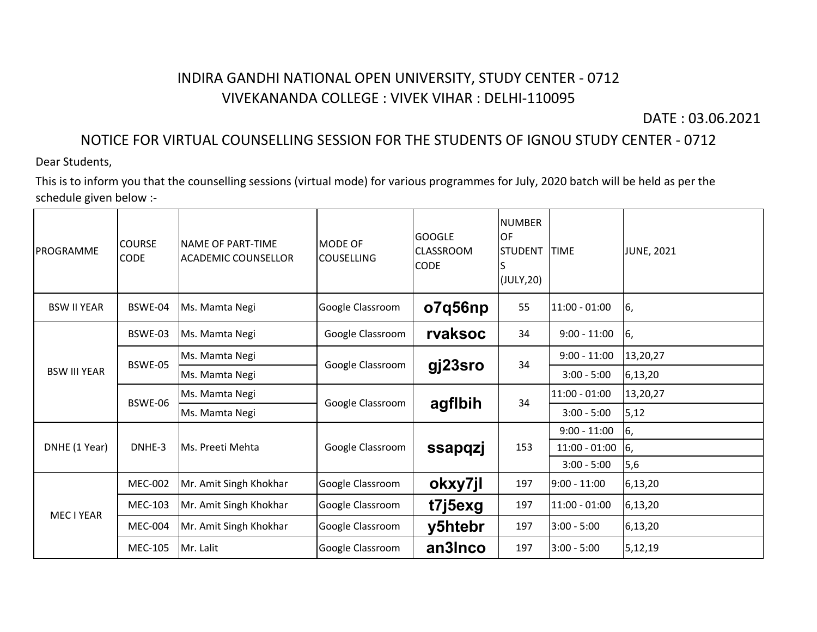## INDIRA GANDHI NATIONAL OPEN UNIVERSITY, STUDY CENTER - 0712 VIVEKANANDA COLLEGE : VIVEK VIHAR : DELHI-110095

DATE : 03.06.2021

## NOTICE FOR VIRTUAL COUNSELLING SESSION FOR THE STUDENTS OF IGNOU STUDY CENTER - 0712

Dear Students,

This is to inform you that the counselling sessions (virtual mode) for various programmes for July, 2020 batch will be held as per the schedule given below :-

| PROGRAMME           | <b>COURSE</b><br><b>CODE</b> | NAME OF PART-TIME<br><b>ACADEMIC COUNSELLOR</b> | MODE OF<br><b>COUSELLING</b> | lGOOGLE<br><b>ICLASSROOM</b><br><b>CODE</b> | <b>NUMBER</b><br>OF<br><b>STUDENT</b><br>lS<br>(JULY, 20) | <b>TIME</b>     | <b>JUNE, 2021</b> |
|---------------------|------------------------------|-------------------------------------------------|------------------------------|---------------------------------------------|-----------------------------------------------------------|-----------------|-------------------|
| <b>BSW II YEAR</b>  | BSWE-04                      | Ms. Mamta Negi                                  | Google Classroom             | o7q56np                                     | 55                                                        | 11:00 - 01:00   | 6,                |
| <b>BSW III YEAR</b> | BSWE-03                      | Ms. Mamta Negi                                  | Google Classroom             | rvaksoc                                     | 34                                                        | $9:00 - 11:00$  | 6,                |
|                     | BSWE-05                      | Ms. Mamta Negi                                  | Google Classroom             | gj23sro                                     | 34                                                        | $9:00 - 11:00$  | 13,20,27          |
|                     |                              | Ms. Mamta Negi                                  |                              |                                             |                                                           | $3:00 - 5:00$   | 6,13,20           |
|                     | BSWE-06                      | Ms. Mamta Negi                                  | Google Classroom             | agflbih                                     | 34                                                        | $11:00 - 01:00$ | 13,20,27          |
|                     |                              | Ms. Mamta Negi                                  |                              |                                             |                                                           | $3:00 - 5:00$   | 5,12              |
| DNHE (1 Year)       | DNHE-3                       | Ms. Preeti Mehta                                | Google Classroom             | ssapqzj                                     | 153                                                       | $9:00 - 11:00$  | 6,                |
|                     |                              |                                                 |                              |                                             |                                                           | $11:00 - 01:00$ | 6,                |
|                     |                              |                                                 |                              |                                             |                                                           | $3:00 - 5:00$   | 5,6               |
| MEC I YEAR          | <b>MEC-002</b>               | Mr. Amit Singh Khokhar                          | Google Classroom             | okxy7jl                                     | 197                                                       | $9:00 - 11:00$  | 6,13,20           |
|                     | <b>MEC-103</b>               | Mr. Amit Singh Khokhar                          | Google Classroom             | t7j5exg                                     | 197                                                       | $11:00 - 01:00$ | 6,13,20           |
|                     | <b>MEC-004</b>               | Mr. Amit Singh Khokhar                          | Google Classroom             | y5htebr                                     | 197                                                       | $3:00 - 5:00$   | 6,13,20           |
|                     | <b>MEC-105</b>               | lMr. Lalit                                      | Google Classroom             | an3Inco                                     | 197                                                       | 3:00 - 5:00     | 5,12,19           |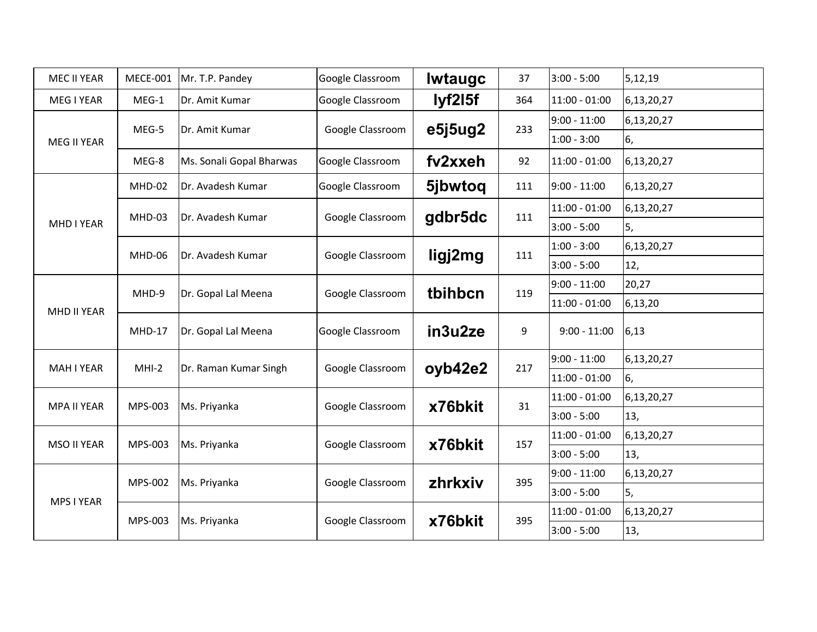| <b>MEC II YEAR</b> | <b>MECE-001</b> | Mr. T.P. Pandey          | Google Classroom | <b>Iwtaugc</b> | 37  | $3:00 - 5:00$   | 5,12,19    |
|--------------------|-----------------|--------------------------|------------------|----------------|-----|-----------------|------------|
| MEG I YEAR         | MEG-1           | Dr. Amit Kumar           | Google Classroom | lyf2l5f        | 364 | $11:00 - 01:00$ | 6,13,20,27 |
| MEG II YEAR        | MEG-5           | Dr. Amit Kumar           | Google Classroom | e5j5ug2        | 233 | $9:00 - 11:00$  | 6,13,20,27 |
|                    |                 |                          |                  |                |     | $1:00 - 3:00$   | 6,         |
|                    | MEG-8           | Ms. Sonali Gopal Bharwas | Google Classroom | fv2xxeh        | 92  | $11:00 - 01:00$ | 6,13,20,27 |
| MHD I YEAR         | MHD-02          | Dr. Avadesh Kumar        | Google Classroom | 5jbwtoq        | 111 | $9:00 - 11:00$  | 6,13,20,27 |
|                    | MHD-03          | Dr. Avadesh Kumar        | Google Classroom | gdbr5dc        | 111 | $11:00 - 01:00$ | 6,13,20,27 |
|                    |                 |                          |                  |                |     | $3:00 - 5:00$   | 5,         |
|                    | MHD-06          | Dr. Avadesh Kumar        | Google Classroom | ligj2mg        | 111 | $1:00 - 3:00$   | 6,13,20,27 |
|                    |                 |                          |                  |                |     | $3:00 - 5:00$   | 12,        |
|                    | MHD-9           | Dr. Gopal Lal Meena      | Google Classroom | tbihbcn        | 119 | $9:00 - 11:00$  | 20,27      |
| MHD II YEAR        |                 |                          |                  |                |     | $11:00 - 01:00$ | 6,13,20    |
|                    | MHD-17          | Dr. Gopal Lal Meena      | Google Classroom | in3u2ze        | 9   | $9:00 - 11:00$  | 6,13       |
| MAH I YEAR         | $MHI-2$         | Dr. Raman Kumar Singh    | Google Classroom | oyb42e2        | 217 | $9:00 - 11:00$  | 6,13,20,27 |
|                    |                 |                          |                  |                |     | $11:00 - 01:00$ | 6,         |
| <b>MPA II YEAR</b> | MPS-003         | Ms. Priyanka             | Google Classroom | x76bkit        | 31  | 11:00 - 01:00   | 6,13,20,27 |
|                    |                 |                          |                  |                |     | $3:00 - 5:00$   | 13,        |
| <b>MSO II YEAR</b> | MPS-003         | Ms. Priyanka             | Google Classroom | x76bkit        | 157 | 11:00 - 01:00   | 6,13,20,27 |
|                    |                 |                          |                  |                |     | $3:00 - 5:00$   | 13,        |
| MPS I YEAR         | MPS-002         | Ms. Priyanka             | Google Classroom | zhrkxiv        | 395 | $9:00 - 11:00$  | 6,13,20,27 |
|                    |                 |                          |                  |                |     | $3:00 - 5:00$   | 5,         |
|                    | MPS-003         | Ms. Priyanka             | Google Classroom | x76bkit        | 395 | $11:00 - 01:00$ | 6,13,20,27 |
|                    |                 |                          |                  |                |     | $3:00 - 5:00$   | 13,        |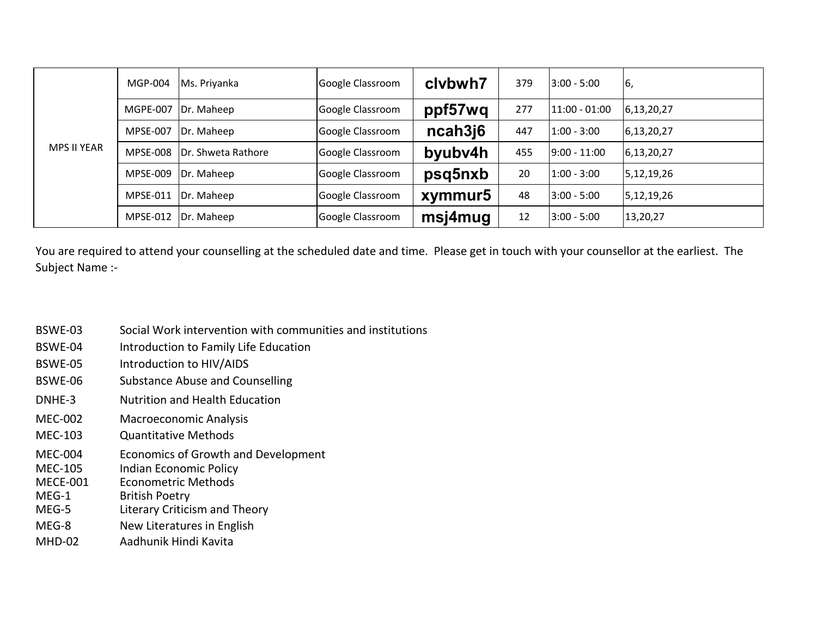| <b>MPS II YEAR</b> | MGP-004         | Ms. Priyanka       | Google Classroom | clybwh7 | 379 | $3:00 - 5:00$     | 6,         |
|--------------------|-----------------|--------------------|------------------|---------|-----|-------------------|------------|
|                    | <b>MGPE-007</b> | Dr. Maheep         | Google Classroom | ppf57wq | 277 | $ 11:00 - 01:00 $ | 6,13,20,27 |
|                    | <b>MPSE-007</b> | Dr. Maheep         | Google Classroom | ncah3j6 | 447 | 1:00 - 3:00       | 6,13,20,27 |
|                    | <b>MPSE-008</b> | Dr. Shweta Rathore | Google Classroom | byubv4h | 455 | $9:00 - 11:00$    | 6,13,20,27 |
|                    | <b>MPSE-009</b> | Dr. Maheep         | Google Classroom | psq5nxb | 20  | $1:00 - 3:00$     | 5,12,19,26 |
|                    | MPSE-011        | Dr. Maheep         | Google Classroom | xymmur5 | 48  | $3:00 - 5:00$     | 5,12,19,26 |
|                    | <b>MPSE-012</b> | Dr. Maheep         | Google Classroom | msj4mug | 12  | $3:00 - 5:00$     | 13,20,27   |

Subject Name :- You are required to attend your counselling at the scheduled date and time. Please get in touch with your counsellor at the earliest. The

- BSWE-03 Social Work intervention with communities and institutions
- BSWE-04 Introduction to Family Life Education
- BSWE-05 Introduction to HIV/AIDS
- BSWE-06 Substance Abuse and Counselling
- DNHE-3 Nutrition and Health Education
- MEC-002 Macroeconomic Analysis
- MEC-103 Quantitative Methods
- MEC-004 Economics of Growth and Development<br>MEC-105 Indian Economic Policy
- MEC-105 Indian Economic Policy<br>MECE-001 Econometric Methods
- Econometric Methods
- MEG-1 British Poetry<br>MEG-5 Literary Critici
- Literary Criticism and Theory
- MEG-8 New Literatures in English
- MHD-02 Aadhunik Hindi Kavita